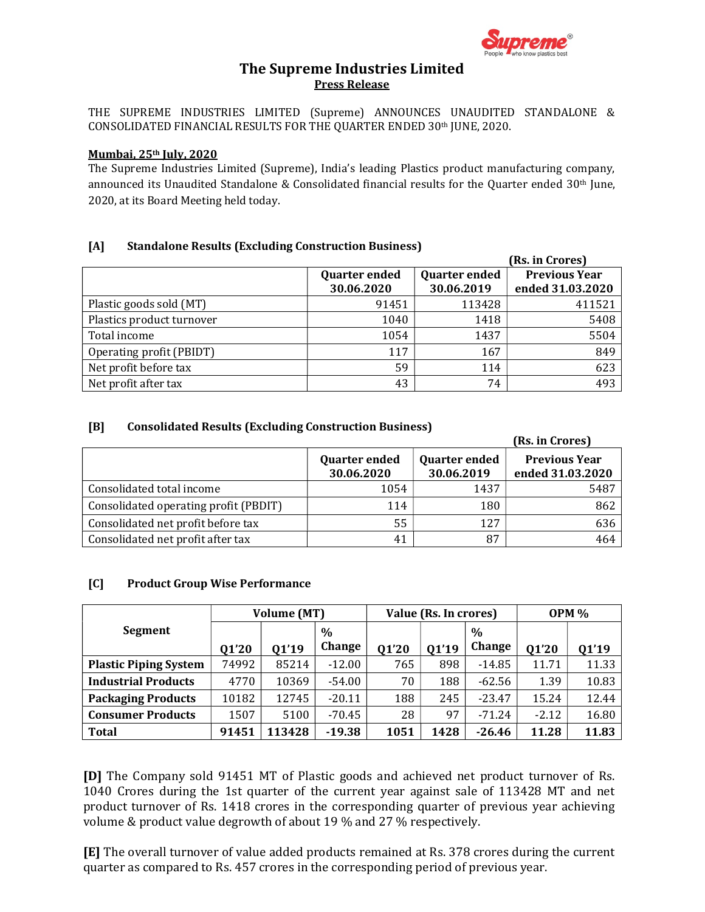

## The Supreme Industries Limited Press Release

THE SUPREME INDUSTRIES LIMITED (Supreme) ANNOUNCES UNAUDITED STANDALONE & CONSOLIDATED FINANCIAL RESULTS FOR THE QUARTER ENDED 30th JUNE, 2020.

#### Mumbai, 25th July, 2020

The Supreme Industries Limited (Supreme), India's leading Plastics product manufacturing company, announced its Unaudited Standalone & Consolidated financial results for the Quarter ended 30<sup>th</sup> June, 2020, at its Board Meeting held today.

### [A] Standalone Results (Excluding Construction Business)

|                           |                                              |            | (Rs. in Crores)      |  |  |  |
|---------------------------|----------------------------------------------|------------|----------------------|--|--|--|
|                           | <b>Quarter ended</b><br><b>Quarter ended</b> |            | <b>Previous Year</b> |  |  |  |
|                           | 30.06.2020                                   | 30.06.2019 | ended 31.03.2020     |  |  |  |
| Plastic goods sold (MT)   | 91451                                        | 113428     | 411521               |  |  |  |
| Plastics product turnover | 1040                                         | 1418       | 5408                 |  |  |  |
| Total income              | 1054                                         | 1437       | 5504                 |  |  |  |
| Operating profit (PBIDT)  | 117                                          | 167        | 849                  |  |  |  |
| Net profit before tax     | 59                                           | 114        | 623                  |  |  |  |
| Net profit after tax      | 43                                           | 74         | 493                  |  |  |  |

### [B] Consolidated Results (Excluding Construction Business)

|                                       |                                    |                                    | (Rs. in Crores)                          |  |  |
|---------------------------------------|------------------------------------|------------------------------------|------------------------------------------|--|--|
|                                       | <b>Quarter ended</b><br>30.06.2020 | <b>Quarter ended</b><br>30.06.2019 | <b>Previous Year</b><br>ended 31.03.2020 |  |  |
| Consolidated total income             | 1054                               | 1437                               | 5487                                     |  |  |
| Consolidated operating profit (PBDIT) | 114                                | 180                                | 862                                      |  |  |
| Consolidated net profit before tax    | 55                                 | 127                                | 636                                      |  |  |
| Consolidated net profit after tax     | 41                                 | 87                                 | 464                                      |  |  |

### [C] Product Group Wise Performance

|                              | <b>Volume (MT)</b> |        | Value (Rs. In crores) |       |       | <b>OPM %</b> |         |       |
|------------------------------|--------------------|--------|-----------------------|-------|-------|--------------|---------|-------|
| Segment                      |                    |        | $\%$                  |       |       | $\%$         |         |       |
|                              | <b>Q1'20</b>       | 01'19  | Change                | 01'20 | 01'19 | Change       | 01'20   | 01'19 |
| <b>Plastic Piping System</b> | 74992              | 85214  | $-12.00$              | 765   | 898   | $-14.85$     | 11.71   | 11.33 |
| <b>Industrial Products</b>   | 4770               | 10369  | $-54.00$              | 70    | 188   | $-62.56$     | 1.39    | 10.83 |
| <b>Packaging Products</b>    | 10182              | 12745  | $-20.11$              | 188   | 245   | $-23.47$     | 15.24   | 12.44 |
| <b>Consumer Products</b>     | 1507               | 5100   | $-70.45$              | 28    | 97    | $-71.24$     | $-2.12$ | 16.80 |
| <b>Total</b>                 | 91451              | 113428 | $-19.38$              | 1051  | 1428  | $-26.46$     | 11.28   | 11.83 |

[D] The Company sold 91451 MT of Plastic goods and achieved net product turnover of Rs. 1040 Crores during the 1st quarter of the current year against sale of 113428 MT and net product turnover of Rs. 1418 crores in the corresponding quarter of previous year achieving volume & product value degrowth of about 19 % and 27 % respectively.

[E] The overall turnover of value added products remained at Rs. 378 crores during the current quarter as compared to Rs. 457 crores in the corresponding period of previous year.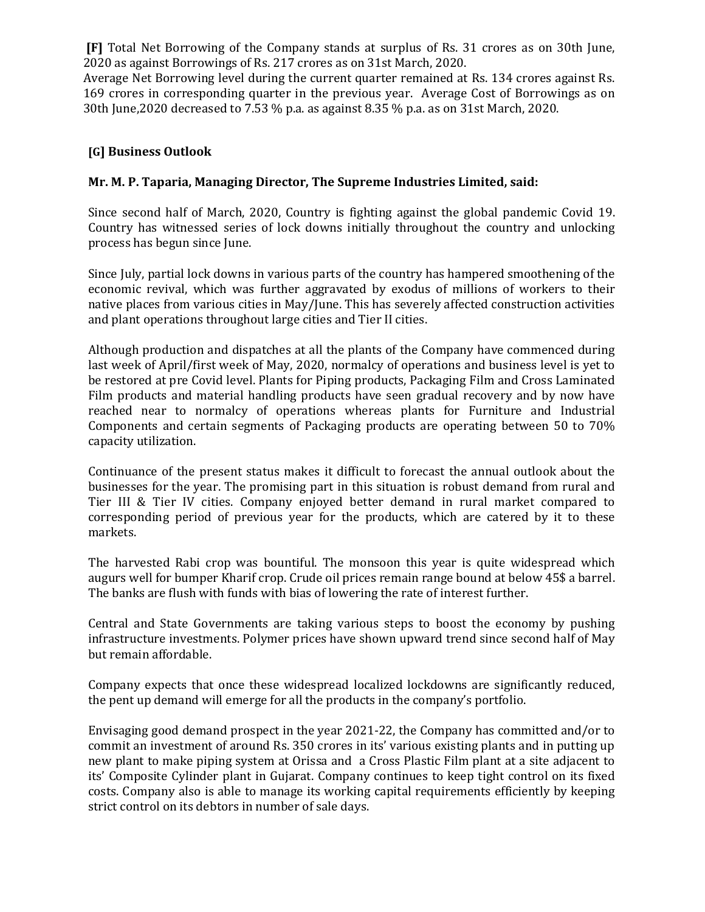[F] Total Net Borrowing of the Company stands at surplus of Rs. 31 crores as on 30th June, 2020 as against Borrowings of Rs. 217 crores as on 31st March, 2020.

Average Net Borrowing level during the current quarter remained at Rs. 134 crores against Rs. 169 crores in corresponding quarter in the previous year. Average Cost of Borrowings as on 30th June,2020 decreased to 7.53 % p.a. as against 8.35 % p.a. as on 31st March, 2020.

## [G] Business Outlook

# Mr. M. P. Taparia, Managing Director, The Supreme Industries Limited, said:

Since second half of March, 2020, Country is fighting against the global pandemic Covid 19. Country has witnessed series of lock downs initially throughout the country and unlocking process has begun since June.

Since July, partial lock downs in various parts of the country has hampered smoothening of the economic revival, which was further aggravated by exodus of millions of workers to their native places from various cities in May/June. This has severely affected construction activities and plant operations throughout large cities and Tier II cities.

Although production and dispatches at all the plants of the Company have commenced during last week of April/first week of May, 2020, normalcy of operations and business level is yet to be restored at pre Covid level. Plants for Piping products, Packaging Film and Cross Laminated Film products and material handling products have seen gradual recovery and by now have reached near to normalcy of operations whereas plants for Furniture and Industrial Components and certain segments of Packaging products are operating between 50 to 70% capacity utilization.

Continuance of the present status makes it difficult to forecast the annual outlook about the businesses for the year. The promising part in this situation is robust demand from rural and Tier III & Tier IV cities. Company enjoyed better demand in rural market compared to corresponding period of previous year for the products, which are catered by it to these markets.

The harvested Rabi crop was bountiful. The monsoon this year is quite widespread which augurs well for bumper Kharif crop. Crude oil prices remain range bound at below 45\$ a barrel. The banks are flush with funds with bias of lowering the rate of interest further.

Central and State Governments are taking various steps to boost the economy by pushing infrastructure investments. Polymer prices have shown upward trend since second half of May but remain affordable.

Company expects that once these widespread localized lockdowns are significantly reduced, the pent up demand will emerge for all the products in the company's portfolio.

Envisaging good demand prospect in the year 2021-22, the Company has committed and/or to commit an investment of around Rs. 350 crores in its' various existing plants and in putting up new plant to make piping system at Orissa and a Cross Plastic Film plant at a site adjacent to its' Composite Cylinder plant in Gujarat. Company continues to keep tight control on its fixed costs. Company also is able to manage its working capital requirements efficiently by keeping strict control on its debtors in number of sale days.